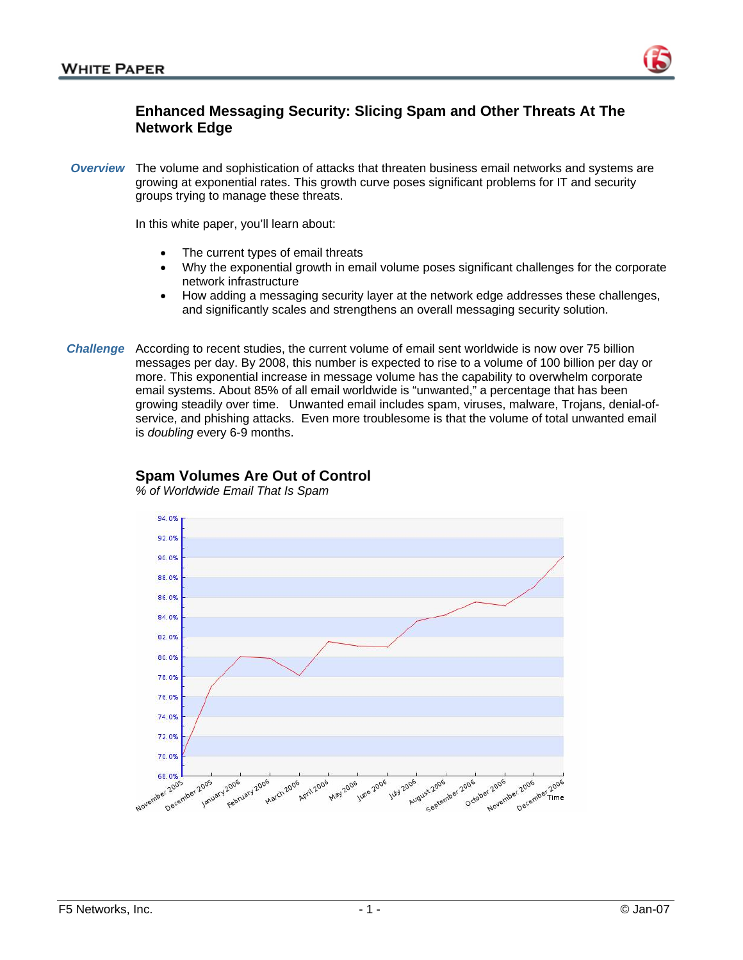

# **Enhanced Messaging Security: Slicing Spam and Other Threats At The Network Edge**

*Overview* The volume and sophistication of attacks that threaten business email networks and systems are growing at exponential rates. This growth curve poses significant problems for IT and security groups trying to manage these threats.

In this white paper, you'll learn about:

- The current types of email threats
- Why the exponential growth in email volume poses significant challenges for the corporate network infrastructure
- How adding a messaging security layer at the network edge addresses these challenges, and significantly scales and strengthens an overall messaging security solution.
- Challenge According to recent studies, the current volume of email sent worldwide is now over 75 billion messages per day. By 2008, this number is expected to rise to a volume of 100 billion per day or more. This exponential increase in message volume has the capability to overwhelm corporate email systems. About 85% of all email worldwide is "unwanted," a percentage that has been growing steadily over time. Unwanted email includes spam, viruses, malware, Trojans, denial-ofservice, and phishing attacks. Even more troublesome is that the volume of total unwanted email is *doubling* every 6-9 months.



## **Spam Volumes Are Out of Control**

*% of Worldwide Email That Is Spam*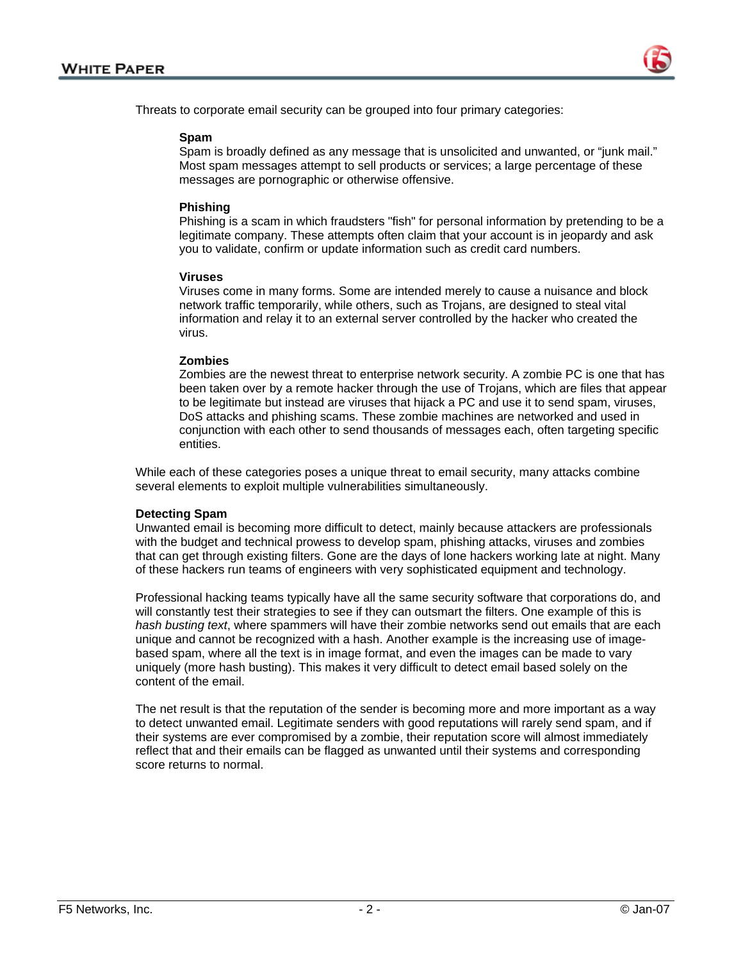

Threats to corporate email security can be grouped into four primary categories:

#### **Spam**

Spam is broadly defined as any message that is unsolicited and unwanted, or "junk mail." Most spam messages attempt to sell products or services; a large percentage of these messages are pornographic or otherwise offensive.

### **Phishing**

Phishing is a scam in which fraudsters "fish" for personal information by pretending to be a legitimate company. These attempts often claim that your account is in jeopardy and ask you to validate, confirm or update information such as credit card numbers.

### **Viruses**

Viruses come in many forms. Some are intended merely to cause a nuisance and block network traffic temporarily, while others, such as Trojans, are designed to steal vital information and relay it to an external server controlled by the hacker who created the virus.

### **Zombies**

Zombies are the newest threat to enterprise network security. A zombie PC is one that has been taken over by a remote hacker through the use of Trojans, which are files that appear to be legitimate but instead are viruses that hijack a PC and use it to send spam, viruses, DoS attacks and phishing scams. These zombie machines are networked and used in conjunction with each other to send thousands of messages each, often targeting specific entities.

While each of these categories poses a unique threat to email security, many attacks combine several elements to exploit multiple vulnerabilities simultaneously.

### **Detecting Spam**

Unwanted email is becoming more difficult to detect, mainly because attackers are professionals with the budget and technical prowess to develop spam, phishing attacks, viruses and zombies that can get through existing filters. Gone are the days of lone hackers working late at night. Many of these hackers run teams of engineers with very sophisticated equipment and technology.

Professional hacking teams typically have all the same security software that corporations do, and will constantly test their strategies to see if they can outsmart the filters. One example of this is *hash busting text*, where spammers will have their zombie networks send out emails that are each unique and cannot be recognized with a hash. Another example is the increasing use of imagebased spam, where all the text is in image format, and even the images can be made to vary uniquely (more hash busting). This makes it very difficult to detect email based solely on the content of the email.

The net result is that the reputation of the sender is becoming more and more important as a way to detect unwanted email. Legitimate senders with good reputations will rarely send spam, and if their systems are ever compromised by a zombie, their reputation score will almost immediately reflect that and their emails can be flagged as unwanted until their systems and corresponding score returns to normal.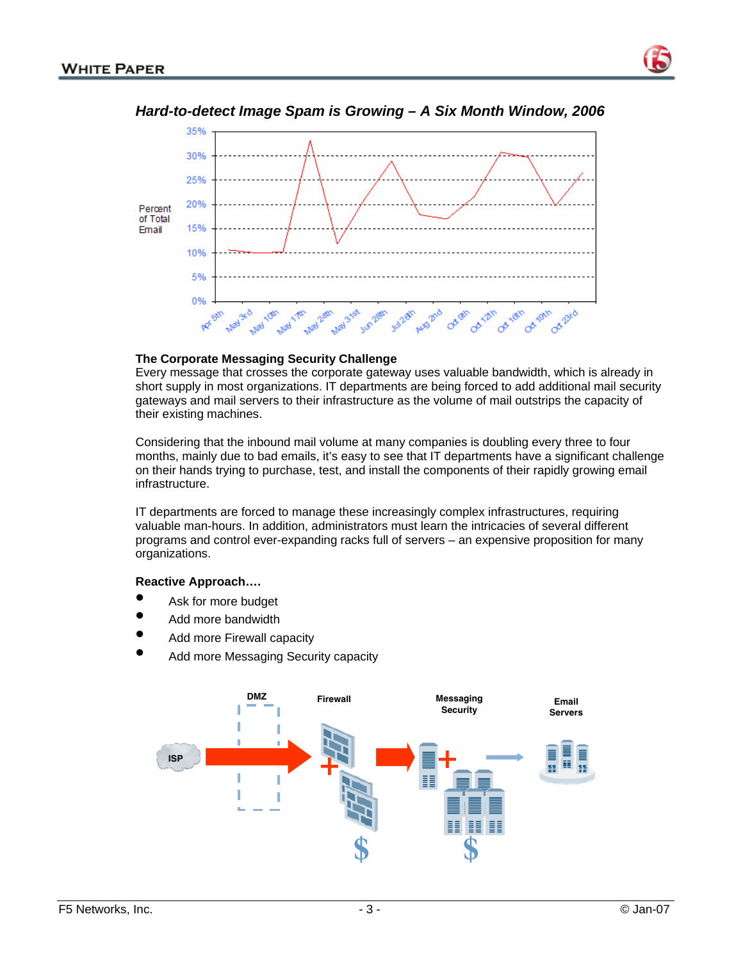

# *Hard-to-detect Image Spam is Growing – A Six Month Window, 2006*

### **The Corporate Messaging Security Challenge**

Every message that crosses the corporate gateway uses valuable bandwidth, which is already in short supply in most organizations. IT departments are being forced to add additional mail security gateways and mail servers to their infrastructure as the volume of mail outstrips the capacity of their existing machines.

Considering that the inbound mail volume at many companies is doubling every three to four months, mainly due to bad emails, it's easy to see that IT departments have a significant challenge on their hands trying to purchase, test, and install the components of their rapidly growing email infrastructure.

IT departments are forced to manage these increasingly complex infrastructures, requiring valuable man-hours. In addition, administrators must learn the intricacies of several different programs and control ever-expanding racks full of servers – an expensive proposition for many organizations.

### **Re active Approach….**

- Ask for more budget
- Add more bandwidth
- Add more Firewall capacity
- Add more Messaging Security capacity

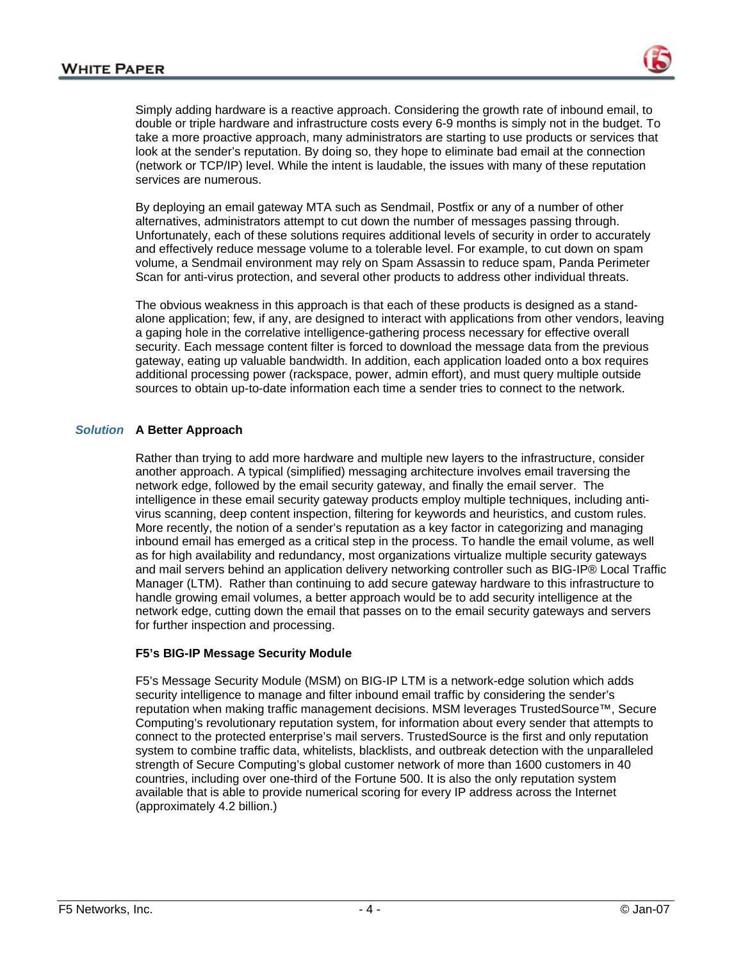Simply adding hardware is a reactive approach. Considering the growth rate of inbound email, to double or triple hardware and infrastructure costs every 6-9 months is simply not in the budget. To take a more proactive approach, many administrators are starting to use products or services that look at the sender's reputation. By doing so, they hope to eliminate bad email at the connection (network or TCP/IP) level. While the intent is laudable, the issues with many of these reputation services are numerous.

By deploying an email gateway MTA such as Sendmail, Postfix or any of a number of other Unfortunately, each of these solutions requires additional levels of security in order to accurately alternatives, administrators attempt to cut down the number of messages passing through. and effectively reduce message volume to a tolerable level. For example, to cut down on spam volume, a Sendmail environment may rely on Spam Assassin to reduce spam, Panda Perimeter Scan for anti-virus protection, and several other products to address other individual threats.

The obvious weakness in this approach is that each of these products is designed as a standalone application; few, if any, are designed to interact with applications from other vendors, leaving security. Each message content filter is forced to download the message data from the previous a gaping hole in the correlative intelligence-gathering process necessary for effective overall gateway, eating up valuable bandwidth. In addition, each application loaded onto a box requires additional processing power (rackspace, power, admin effort), and must query multiple outside sources to obtain up-to-date information each time a sender tries to connect to the network.

## *Solution* **A Better Approach**

Rather than trying to add more hardware and multiple new layers to the infrastructure, consider intelligence in these email security gateway products employ multiple techniques, including antiinbound email has emerged as a critical step in the process. To handle the email volume, as well and mail servers behind an application delivery networking controller such as BIG-IP® Local Traffic another approach. A typical (simplified) messaging architecture involves email traversing the network edge, followed by the email security gateway, and finally the email server. The virus scanning, deep content inspection, filtering for keywords and heuristics, and custom rules. More recently, the notion of a sender's reputation as a key factor in categorizing and managing as for high availability and redundancy, most organizations virtualize multiple security gateways Manager (LTM). Rather than continuing to add secure gateway hardware to this infrastructure to handle growing email volumes, a better approach would be to add security intelligence at the network edge, cutting down the email that passes on to the email security gateways and servers for further inspection and processing.

### **5's BIG-IP Message Security Module F**

5's Message Security Module (MSM) on BIG-IP LTM is a network-edge solution which adds F reputation when making traffic management decisions. MSM leverages TrustedSource™, Secure security intelligence to manage and filter inbound email traffic by considering the sender's Computing's revolutionary reputation system, for information about every sender that attempts to connect to the protected enterprise's mail servers. TrustedSource is the first and only reputation system to combine traffic data, whitelists, blacklists, and outbreak detection with the unparalleled strength of Secure Computing's global customer network of more than 1600 customers in 40 countries, including over one-third of the Fortune 500. It is also the only reputation system available that is able to provide numerical scoring for every IP address across the Internet (approximately 4.2 billion.)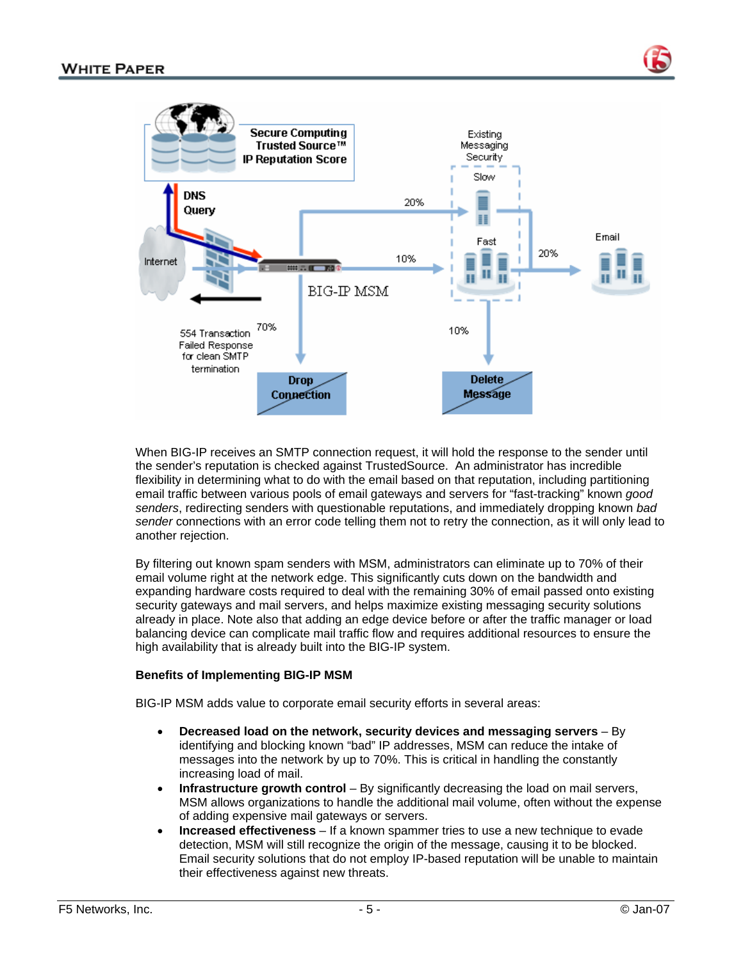

When BIG-IP receives an SMTP connection request, it will hold the response to the sender until the sender's reputation is checked against TrustedSource. An administrator has incredible flexibility in determining what to do with the email based on that reputation, including partitioning email traffic between various pools of email gateways and servers for "fast-tracking" known *good senders*, redirecting senders with questionable reputations, and immediately dropping known *bad sender* connections with an error code telling them not to retry the connection, as it will only lead to another rejection.

By filtering out known spam senders with MSM, administrators can eliminate up to 70% of their email volume right at the network edge. This significantly cuts down on the bandwidth and expanding hardware costs required to deal with the remaining 30% of email passed onto existing security gateways and mail servers, and helps maximize existing messaging security solutions already in place. Note also that adding an edge device before or after the traffic manager or load balancing device can complicate mail traffic flow and requires additional resources to ensure the high availability that is already built into the BIG-IP system.

### **Benefits of Implementing BIG-IP MSM**

BIG-IP MSM adds value to corporate email security efforts in several areas:

- **Decreased load on the network, security devices and messaging servers**  By identifying and blocking known "bad" IP addresses, MSM can reduce the intake of messages into the network by up to 70%. This is critical in handling the constantly increasing load of mail.
- **Infrastructure growth control** By significantly decreasing the load on mail servers, MSM allows organizations to handle the additional mail volume, often without the expense of adding expensive mail gateways or servers.
- **Increased effectiveness**  If a known spammer tries to use a new technique to evade detection, MSM will still recognize the origin of the message, causing it to be blocked. Email security solutions that do not employ IP-based reputation will be unable to maintain their effectiveness against new threats.